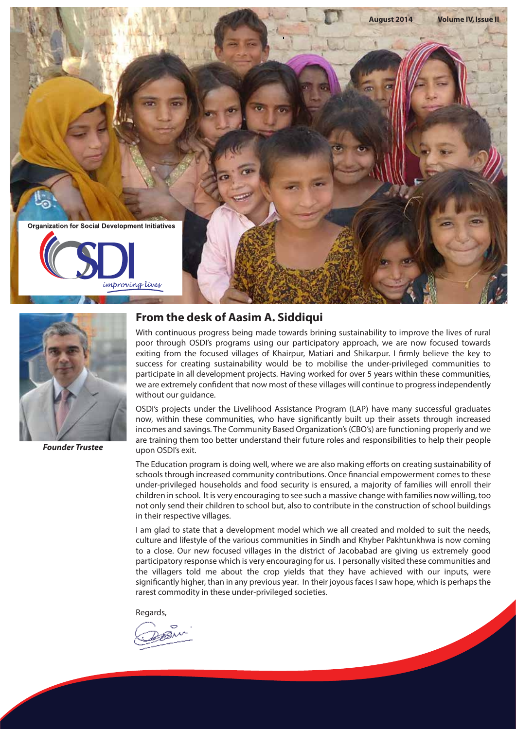



*Founder Trustee*

# **From the desk of Aasim A. Siddiqui**

With continuous progress being made towards brining sustainability to improve the lives of rural poor through OSDI's programs using our participatory approach, we are now focused towards exiting from the focused villages of Khairpur, Matiari and Shikarpur. I firmly believe the key to success for creating sustainability would be to mobilise the under-privileged communities to participate in all development projects. Having worked for over 5 years within these communities, we are extremely confident that now most of these villages will continue to progress independently without our guidance.

OSDI's projects under the Livelihood Assistance Program (LAP) have many successful graduates now, within these communities, who have significantly built up their assets through increased incomes and savings. The Community Based Organization's (CBO's) are functioning properly and we are training them too better understand their future roles and responsibilities to help their people upon OSDI's exit.

The Education program is doing well, where we are also making efforts on creating sustainability of schools through increased community contributions. Once financial empowerment comes to these under-privileged households and food security is ensured, a majority of families will enroll their children in school. It is very encouraging to see such a massive change with families now willing, too not only send their children to school but, also to contribute in the construction of school buildings in their respective villages.

I am glad to state that a development model which we all created and molded to suit the needs, culture and lifestyle of the various communities in Sindh and Khyber Pakhtunkhwa is now coming to a close. Our new focused villages in the district of Jacobabad are giving us extremely good participatory response which is very encouraging for us. I personally visited these communities and the villagers told me about the crop yields that they have achieved with our inputs, were significantly higher, than in any previous year. In their joyous faces I saw hope, which is perhaps the rarest commodity in these under-privileged societies.

Regards,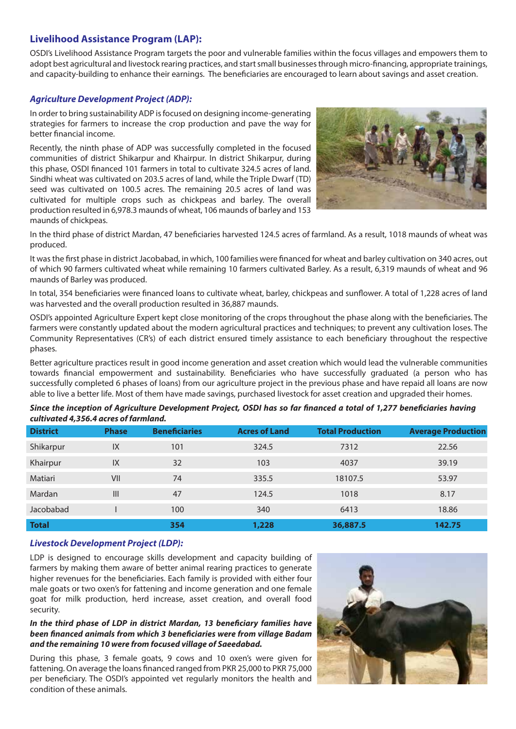# **Livelihood Assistance Program (LAP):**

OSDI's Livelihood Assistance Program targets the poor and vulnerable families within the focus villages and empowers them to adopt best agricultural and livestock rearing practices, and start small businesses through micro-financing, appropriate trainings, and capacity-building to enhance their earnings. The beneficiaries are encouraged to learn about savings and asset creation.

### *Agriculture Development Project (ADP):*

In order to bring sustainability ADP is focused on designing income-generating strategies for farmers to increase the crop production and pave the way for better financial income.

Recently, the ninth phase of ADP was successfully completed in the focused communities of district Shikarpur and Khairpur. In district Shikarpur, during this phase, OSDI financed 101 farmers in total to cultivate 324.5 acres of land. Sindhi wheat was cultivated on 203.5 acres of land, while the Triple Dwarf (TD) seed was cultivated on 100.5 acres. The remaining 20.5 acres of land was cultivated for multiple crops such as chickpeas and barley. The overall production resulted in 6,978.3 maunds of wheat, 106 maunds of barley and 153 maunds of chickpeas.



In the third phase of district Mardan, 47 beneficiaries harvested 124.5 acres of farmland. As a result, 1018 maunds of wheat was produced.

It was the first phase in district Jacobabad, in which, 100 families were financed for wheat and barley cultivation on 340 acres, out of which 90 farmers cultivated wheat while remaining 10 farmers cultivated Barley. As a result, 6,319 maunds of wheat and 96 maunds of Barley was produced.

In total, 354 beneficiaries were financed loans to cultivate wheat, barley, chickpeas and sunflower. A total of 1,228 acres of land was harvested and the overall production resulted in 36,887 maunds.

OSDI's appointed Agriculture Expert kept close monitoring of the crops throughout the phase along with the beneficiaries. The farmers were constantly updated about the modern agricultural practices and techniques; to prevent any cultivation loses. The Community Representatives (CR's) of each district ensured timely assistance to each beneficiary throughout the respective phases.

Better agriculture practices result in good income generation and asset creation which would lead the vulnerable communities towards financial empowerment and sustainability. Beneficiaries who have successfully graduated (a person who has successfully completed 6 phases of loans) from our agriculture project in the previous phase and have repaid all loans are now able to live a better life. Most of them have made savings, purchased livestock for asset creation and upgraded their homes.

| cultivated 4,356.4 acres of farmland. |              |                      |                      |                         |                           |  |  |
|---------------------------------------|--------------|----------------------|----------------------|-------------------------|---------------------------|--|--|
| <b>District</b>                       | <b>Phase</b> | <b>Beneficiaries</b> | <b>Acres of Land</b> | <b>Total Production</b> | <b>Average Production</b> |  |  |
| Shikarpur                             | IX           | 101                  | 324.5                | 7312                    | 22.56                     |  |  |
| Khairpur                              | IX           | 32                   | 103                  | 4037                    | 39.19                     |  |  |
| Matiari                               | VII          | 74                   | 335.5                | 18107.5                 | 53.97                     |  |  |
| Mardan                                | III          | 47                   | 124.5                | 1018                    | 8.17                      |  |  |
| Jacobabad                             |              | 100                  | 340                  | 6413                    | 18.86                     |  |  |

**Total 354 1,228 36,887.5 142.75**

### *Since the inception of Agriculture Development Project, OSDI has so far financed a total of 1,277 beneficiaries having cultivated 4,356.4 acres of farmland.*

### *Livestock Development Project (LDP):*

LDP is designed to encourage skills development and capacity building of farmers by making them aware of better animal rearing practices to generate higher revenues for the beneficiaries. Each family is provided with either four male goats or two oxen's for fattening and income generation and one female goat for milk production, herd increase, asset creation, and overall food security.

### In the third phase of LDP in district Mardan, 13 beneficiary families have *been nanced animals from which 3 beneciaries were from village Badam and the remaining 10 were from focused village of Saeedabad.*

During this phase, 3 female goats, 9 cows and 10 oxen's were given for fattening. On average the loans financed ranged from PKR 25,000 to PKR 75,000 per beneficiary. The OSDI's appointed vet regularly monitors the health and condition of these animals.

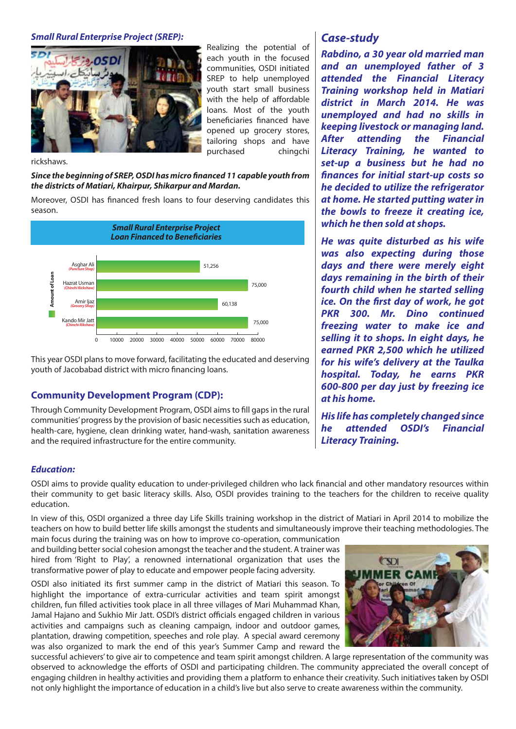### *Small Rural Enterprise Project (SREP):*



Realizing the potential of each youth in the focused communities, OSDI initiated SREP to help unemployed youth start small business with the help of affordable loans. Most of the youth beneficiaries financed have opened up grocery stores, tailoring shops and have purchased chingchi

### rickshaws.

### Since the beginning of SREP, OSDI has micro financed 11 capable youth from *the districts of Matiari, Khairpur, Shikarpur and Mardan.*

Moreover, OSDI has financed fresh loans to four deserving candidates this season.



This year OSDI plans to move forward, facilitating the educated and deserving youth of Jacobabad district with micro financing loans.

# **Community Development Program (CDP):**

Through Community Development Program, OSDI aims to fill gaps in the rural communities' progress by the provision of basic necessities such as education, health-care, hygiene, clean drinking water, hand-wash, sanitation awareness and the required infrastructure for the entire community.

### *Education:*

OSDI aims to provide quality education to under-privileged children who lack financial and other mandatory resources within their community to get basic literacy skills. Also, OSDI provides training to the teachers for the children to receive quality education.

In view of this, OSDI organized a three day Life Skills training workshop in the district of Matiari in April 2014 to mobilize the teachers on how to build better life skills amongst the students and simultaneously improve their teaching methodologies. The

main focus during the training was on how to improve co-operation, communication and building better social cohesion amongst the teacher and the student. A trainer was hired from 'Right to Play', a renowned international organization that uses the transformative power of play to educate and empower people facing adversity.

OSDI also initiated its first summer camp in the district of Matiari this season. To highlight the importance of extra-curricular activities and team spirit amongst children, fun lled activities took place in all three villages of Mari Muhammad Khan, Jamal Hajano and Sukhio Mir Jatt. OSDI's district officials engaged children in various activities and campaigns such as cleaning campaign, indoor and outdoor games, plantation, drawing competition, speeches and role play. A special award ceremony was also organized to mark the end of this year's Summer Camp and reward the

# $\infty$

successful achievers' to give air to competence and team spirit amongst children. A large representation of the community was observed to acknowledge the efforts of OSDI and participating children. The community appreciated the overall concept of engaging children in healthy activities and providing them a platform to enhance their creativity. Such initiatives taken by OSDI not only highlight the importance of education in a child's live but also serve to create awareness within the community.

# *Case-study*

*Rabdino, a 30 year old married man and an unemployed father of 3 attended the Financial Literacy Training workshop held in Matiari district in March 2014. He was unemployed and had no skills in keeping livestock or managing land. After attending the Financial Literacy Training, he wanted to set-up a business but he had no nances for initial start-up costs so he decided to utilize the refrigerator at home. He started putting water in the bowls to freeze it creating ice, which he then sold at shops.*

*He was quite disturbed as his wife was also expecting during those days and there were merely eight days remaining in the birth of their fourth child when he started selling ice. On the first day of work, he got PKR 300. Mr. Dino continued freezing water to make ice and selling it to shops. In eight days, he earned PKR 2,500 which he utilized for his wife's delivery at the Taulka hospital. Today, he earns PKR 600-800 per day just by freezing ice at his home.* 

*His life has completely changed since he attended OSDI's Financial Literacy Training.*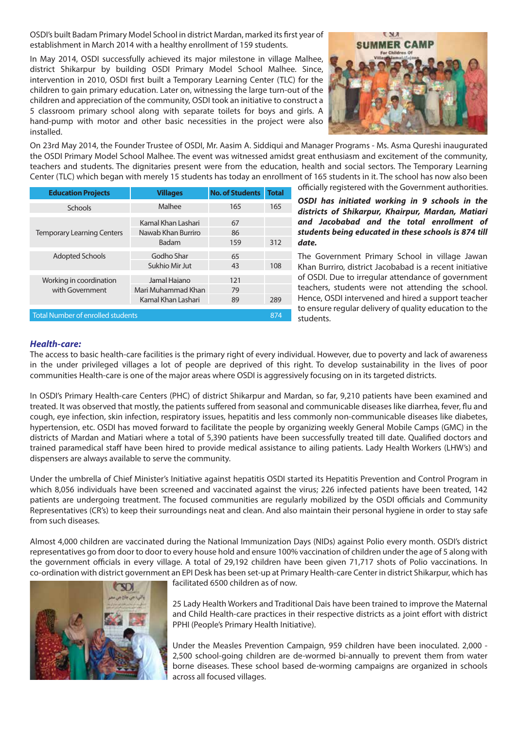OSDI's built Badam Primary Model School in district Mardan, marked its first year of establishment in March 2014 with a healthy enrollment of 159 students.

In May 2014, OSDI successfully achieved its major milestone in village Malhee, district Shikarpur by building OSDI Primary Model School Malhee. Since, intervention in 2010, OSDI first built a Temporary Learning Center (TLC) for the children to gain primary education. Later on, witnessing the large turn-out of the children and appreciation of the community, OSDI took an initiative to construct a 5 classroom primary school along with separate toilets for boys and girls. A hand-pump with motor and other basic necessities in the project were also installed.



On 23rd May 2014, the Founder Trustee of OSDI, Mr. Aasim A. Siddiqui and Manager Programs - Ms. Asma Qureshi inaugurated the OSDI Primary Model School Malhee. The event was witnessed amidst great enthusiasm and excitement of the community, teachers and students. The dignitaries present were from the education, health and social sectors. The Temporary Learning Center (TLC) which began with merely 15 students has today an enrollment of 165 students in it. The school has now also been

| <b>Education Projects</b>                | <b>Villages</b>             | <b>No. of Students</b> | <b>Total</b> |
|------------------------------------------|-----------------------------|------------------------|--------------|
| Schools                                  | Malhee                      | 165                    | 165          |
|                                          | Kamal Khan Lashari          | 67                     |              |
| <b>Temporary Learning Centers</b>        | Nawab Khan Burriro<br>Badam | 86<br>159              | 312          |
| <b>Adopted Schools</b>                   | Godho Shar                  | 65                     |              |
|                                          | Sukhio Mir Jut              | 43                     | 108          |
| Working in coordination                  | Jamal Hajano                | 121                    |              |
| with Government                          | Mari Muhammad Khan          | 79                     |              |
|                                          | Kamal Khan Lashari          | 89                     | 289          |
| <b>Total Number of enrolled students</b> |                             |                        |              |

officially registered with the Government authorities.

*OSDI has initiated working in 9 schools in the districts of Shikarpur, Khairpur, Mardan, Matiari and Jacobabad and the total enrollment of students being educated in these schools is 874 till date.* 

The Government Primary School in village Jawan Khan Burriro, district Jacobabad is a recent initiative of OSDI. Due to irregular attendance of government teachers, students were not attending the school. Hence, OSDI intervened and hired a support teacher to ensure regular delivery of quality education to the students.

### *Health-care:*

The access to basic health-care facilities is the primary right of every individual. However, due to poverty and lack of awareness in the under privileged villages a lot of people are deprived of this right. To develop sustainability in the lives of poor communities Health-care is one of the major areas where OSDI is aggressively focusing on in its targeted districts.

In OSDI's Primary Health-care Centers (PHC) of district Shikarpur and Mardan, so far, 9,210 patients have been examined and treated. It was observed that mostly, the patients suffered from seasonal and communicable diseases like diarrhea, fever, flu and cough, eye infection, skin infection, respiratory issues, hepatitis and less commonly non-communicable diseases like diabetes, hypertension, etc. OSDI has moved forward to facilitate the people by organizing weekly General Mobile Camps (GMC) in the districts of Mardan and Matiari where a total of 5,390 patients have been successfully treated till date. Qualified doctors and trained paramedical staff have been hired to provide medical assistance to ailing patients. Lady Health Workers (LHW's) and dispensers are always available to serve the community.

Under the umbrella of Chief Minister's Initiative against hepatitis OSDI started its Hepatitis Prevention and Control Program in which 8,056 individuals have been screened and vaccinated against the virus; 226 infected patients have been treated, 142 patients are undergoing treatment. The focused communities are regularly mobilized by the OSDI officials and Community Representatives (CR's) to keep their surroundings neat and clean. And also maintain their personal hygiene in order to stay safe from such diseases.

Almost 4,000 children are vaccinated during the National Immunization Days (NIDs) against Polio every month. OSDI's district representatives go from door to door to every house hold and ensure 100% vaccination of children under the age of 5 along with the government officials in every village. A total of 29,192 children have been given 71,717 shots of Polio vaccinations. In co-ordination with district government an EPI Desk has been set-up at Primary Health-care Center in district Shikarpur, which has



facilitated 6500 children as of now.

25 Lady Health Workers and Traditional Dais have been trained to improve the Maternal and Child Health-care practices in their respective districts as a joint effort with district PPHI (People's Primary Health Initiative).

Under the Measles Prevention Campaign, 959 children have been inoculated. 2,000 - 2,500 school-going children are de-wormed bi-annually to prevent them from water borne diseases. These school based de-worming campaigns are organized in schools across all focused villages.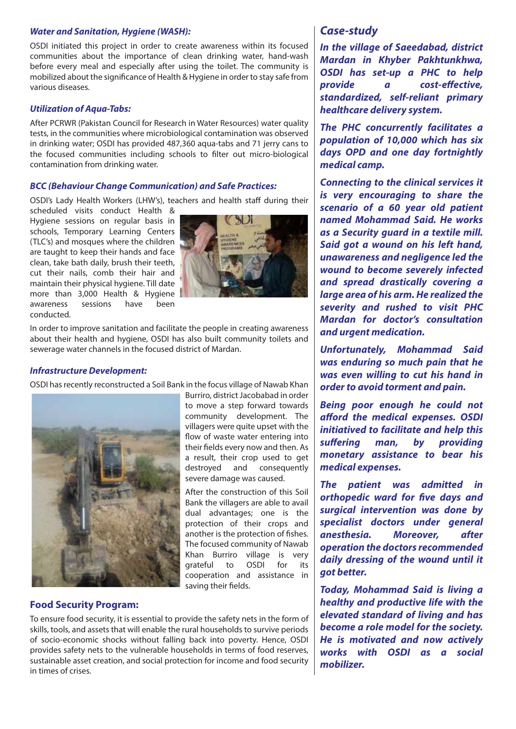### *Water and Sanitation, Hygiene (WASH):*

OSDI initiated this project in order to create awareness within its focused communities about the importance of clean drinking water, hand-wash before every meal and especially after using the toilet. The community is mobilized about the significance of Health & Hygiene in order to stay safe from various diseases.

### *Utilization of Aqua-Tabs:*

After PCRWR (Pakistan Council for Research in Water Resources) water quality tests, in the communities where microbiological contamination was observed in drinking water; OSDI has provided 487,360 aqua-tabs and 71 jerry cans to the focused communities including schools to filter out micro-biological contamination from drinking water.

### *BCC (Behaviour Change Communication) and Safe Practices:*

OSDI's Lady Health Workers (LHW's), teachers and health staff during their

scheduled visits conduct Health & Hygiene sessions on regular basis in schools, Temporary Learning Centers (TLC's) and mosques where the children are taught to keep their hands and face clean, take bath daily, brush their teeth, cut their nails, comb their hair and maintain their physical hygiene. Till date more than 3,000 Health & Hygiene awareness sessions have been conducted.



In order to improve sanitation and facilitate the people in creating awareness about their health and hygiene, OSDI has also built community toilets and sewerage water channels in the focused district of Mardan.

### *Infrastructure Development:*

OSDI has recently reconstructed a Soil Bank in the focus village of Nawab Khan



Burriro, district Jacobabad in order to move a step forward towards community development. The villagers were quite upset with the flow of waste water entering into their fields every now and then. As a result, their crop used to get destroyed and consequently severe damage was caused.

After the construction of this Soil Bank the villagers are able to avail dual advantages; one is the protection of their crops and another is the protection of fishes. The focused community of Nawab Khan Burriro village is very grateful to OSDI for its cooperation and assistance in saving their fields.

# **Food Security Program:**

To ensure food security, it is essential to provide the safety nets in the form of skills, tools, and assets that will enable the rural households to survive periods of socio-economic shocks without falling back into poverty. Hence, OSDI provides safety nets to the vulnerable households in terms of food reserves, sustainable asset creation, and social protection for income and food security in times of crises.

# *Case-study*

*In the village of Saeedabad, district Mardan in Khyber Pakhtunkhwa, OSDI has set-up a PHC to help provide* a cost-effective, *standardized, self-reliant primary healthcare delivery system.*

*The PHC concurrently facilitates a population of 10,000 which has six days OPD and one day fortnightly medical camp.*

*Connecting to the clinical services it is very encouraging to share the scenario of a 60 year old patient named Mohammad Said. He works as a Security guard in a textile mill. Said got a wound on his left hand, unawareness and negligence led the wound to become severely infected and spread drastically covering a large area of his arm. He realized the severity and rushed to visit PHC Mardan for doctor's consultation and urgent medication.* 

*Unfortunately, Mohammad Said was enduring so much pain that he was even willing to cut his hand in order to avoid torment and pain.*

*Being poor enough he could not afford the medical expenses. OSDI initiatived to facilitate and help this*  suffering man, by providing *monetary assistance to bear his medical expenses.*

*The patient was admitted in*  **orthopedic ward for five days and** *surgical intervention was done by specialist doctors under general anesthesia. Moreover, after operation the doctors recommended daily dressing of the wound until it got better.*

*Today, Mohammad Said is living a healthy and productive life with the elevated standard of living and has become a role model for the society. He is motivated and now actively works with OSDI as a social mobilizer.*